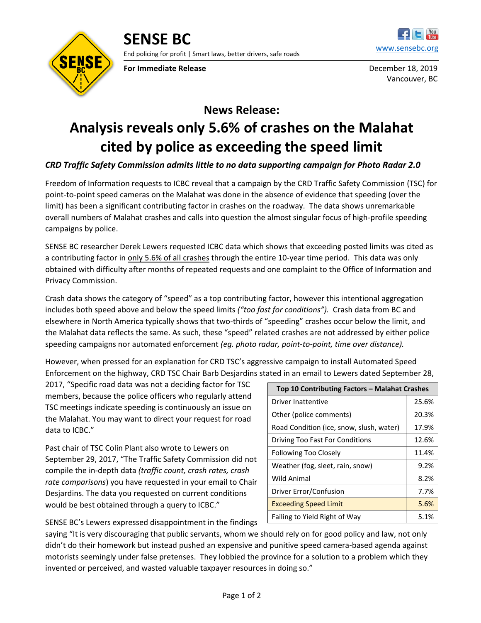

**For Immediate Release** December 18, 2019



Vancouver, BC

## **News Release: Analysis reveals only 5.6% of crashes on the Malahat cited by police as exceeding the speed limit**

## *CRD Traffic Safety Commission admits little to no data supporting campaign for Photo Radar 2.0*

Freedom of Information requests to ICBC reveal that a campaign by the CRD Traffic Safety Commission (TSC) for point-to-point speed cameras on the Malahat was done in the absence of evidence that speeding (over the limit) has been a significant contributing factor in crashes on the roadway. The data shows unremarkable overall numbers of Malahat crashes and calls into question the almost singular focus of high-profile speeding campaigns by police.

SENSE BC researcher Derek Lewers requested ICBC data which shows that exceeding posted limits was cited as a contributing factor in only 5.6% of all crashes through the entire 10-year time period. This data was only obtained with difficulty after months of repeated requests and one complaint to the Office of Information and Privacy Commission.

Crash data shows the category of "speed" as a top contributing factor, however this intentional aggregation includes both speed above and below the speed limits *("too fast for conditions").* Crash data from BC and elsewhere in North America typically shows that two-thirds of "speeding" crashes occur below the limit, and the Malahat data reflects the same. As such, these "speed" related crashes are not addressed by either police speeding campaigns nor automated enforcement *(eg. photo radar, point-to-point, time over distance).*

However, when pressed for an explanation for CRD TSC's aggressive campaign to install Automated Speed Enforcement on the highway, CRD TSC Chair Barb Desjardins stated in an email to Lewers dated September 28,

2017, "Specific road data was not a deciding factor for TSC members, because the police officers who regularly attend TSC meetings indicate speeding is continuously an issue on the Malahat. You may want to direct your request for road data to ICBC."

Past chair of TSC Colin Plant also wrote to Lewers on September 29, 2017, "The Traffic Safety Commission did not compile the in-depth data *(traffic count, crash rates, crash rate comparisons*) you have requested in your email to Chair Desjardins. The data you requested on current conditions would be best obtained through a query to ICBC."

| Top 10 Contributing Factors - Malahat Crashes |       |
|-----------------------------------------------|-------|
| Driver Inattentive                            | 25.6% |
| Other (police comments)                       | 20.3% |
| Road Condition (ice, snow, slush, water)      | 17.9% |
| Driving Too Fast For Conditions               | 12.6% |
| Following Too Closely                         | 11.4% |
| Weather (fog, sleet, rain, snow)              | 9.2%  |
| Wild Animal                                   | 8.2%  |
| Driver Error/Confusion                        | 7.7%  |
| <b>Exceeding Speed Limit</b>                  | 5.6%  |
| Failing to Yield Right of Way                 | 5.1%  |

SENSE BC's Lewers expressed disappointment in the findings

saying "It is very discouraging that public servants, whom we should rely on for good policy and law, not only didn't do their homework but instead pushed an expensive and punitive speed camera-based agenda against motorists seemingly under false pretenses. They lobbied the province for a solution to a problem which they invented or perceived, and wasted valuable taxpayer resources in doing so."